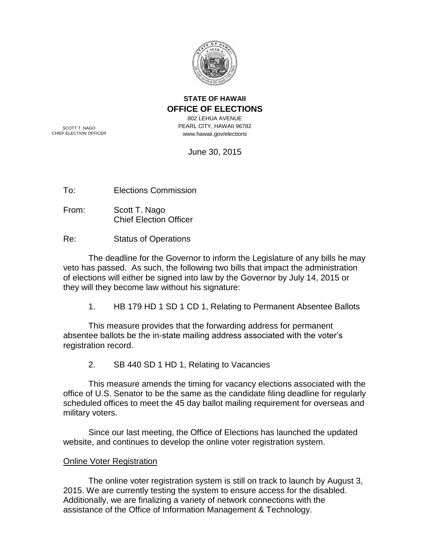

## **STATE OF HAWAII OFFICE OF ELECTIONS**

802 LEHUA AVENUE PEARL CITY, HAWAII 96782 www.hawaii.gov/elections

SCOTT T. NAGO CHIEF ELECTION OFFICER

June 30, 2015

To: Elections Commission

From: Scott T. Nago Chief Election Officer

Re: Status of Operations

The deadline for the Governor to inform the Legislature of any bills he may veto has passed. As such, the following two bills that impact the administration of elections will either be signed into law by the Governor by July 14, 2015 or they will they become law without his signature:

1. HB 179 HD 1 SD 1 CD 1, Relating to Permanent Absentee Ballots

This measure provides that the forwarding address for permanent absentee ballots be the in-state mailing address associated with the voter's registration record.

2. SB 440 SD 1 HD 1, Relating to Vacancies

This measure amends the timing for vacancy elections associated with the office of U.S. Senator to be the same as the candidate filing deadline for regularly scheduled offices to meet the 45 day ballot mailing requirement for overseas and military voters.

Since our last meeting, the Office of Elections has launched the updated website, and continues to develop the online voter registration system.

## Online Voter Registration

The online voter registration system is still on track to launch by August 3, 2015. We are currently testing the system to ensure access for the disabled. Additionally, we are finalizing a variety of network connections with the assistance of the Office of Information Management & Technology.